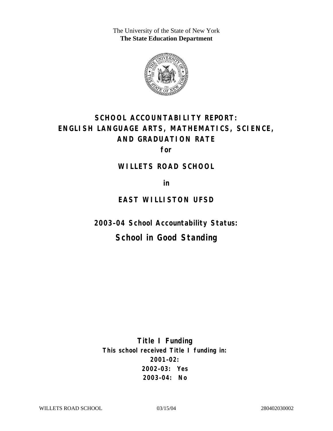The University of the State of New York **The State Education Department** 



# **SCHOOL ACCOUNTABILITY REPORT: ENGLISH LANGUAGE ARTS, MATHEMATICS, SCIENCE, AND GRADUATION RATE**

**for** 

#### **WILLETS ROAD SCHOOL**

**in** 

### **EAST WILLISTON UFSD**

**2003–04 School Accountability Status:** 

## **School in Good Standing**

**Title I Funding This school received Title I funding in: 2001–02: 2002–03: Yes 2003–04: No**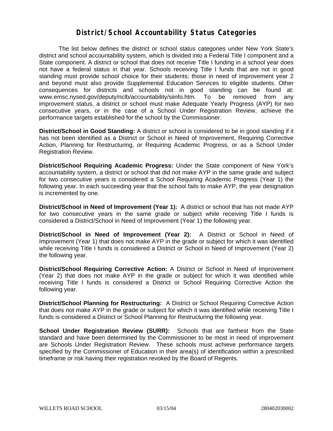#### **District/School Accountability Status Categories**

The list below defines the district or school status categories under New York State's district and school accountability system, which is divided into a Federal Title I component and a State component. A district or school that does not receive Title I funding in a school year does not have a federal status in that year. Schools receiving Title I funds that are not in good standing must provide school choice for their students; those in need of improvement year 2 and beyond must also provide Supplemental Education Services to eligible students. Other consequences for districts and schools not in good standing can be found at: www.emsc.nysed.gov/deputy/nclb/accountability/siinfo.htm. To be removed from any improvement status, a district or school must make Adequate Yearly Progress (AYP) for two consecutive years, or in the case of a School Under Registration Review, achieve the performance targets established for the school by the Commissioner.

**District/School in Good Standing:** A district or school is considered to be in good standing if it has not been identified as a District or School in Need of Improvement, Requiring Corrective Action, Planning for Restructuring, or Requiring Academic Progress, or as a School Under Registration Review.

**District/School Requiring Academic Progress:** Under the State component of New York's accountability system, a district or school that did not make AYP in the same grade and subject for two consecutive years is considered a School Requiring Academic Progress (Year 1) the following year. In each succeeding year that the school fails to make AYP, the year designation is incremented by one.

**District/School in Need of Improvement (Year 1):** A district or school that has not made AYP for two consecutive years in the same grade or subject while receiving Title I funds is considered a District/School in Need of Improvement (Year 1) the following year.

**District/School in Need of Improvement (Year 2):** A District or School in Need of Improvement (Year 1) that does not make AYP in the grade or subject for which it was identified while receiving Title I funds is considered a District or School in Need of Improvement (Year 2) the following year.

**District/School Requiring Corrective Action:** A District or School in Need of Improvement (Year 2) that does not make AYP in the grade or subject for which it was identified while receiving Title I funds is considered a District or School Requiring Corrective Action the following year.

**District/School Planning for Restructuring:** A District or School Requiring Corrective Action that does not make AYP in the grade or subject for which it was identified while receiving Title I funds is considered a District or School Planning for Restructuring the following year.

**School Under Registration Review (SURR):** Schools that are farthest from the State standard and have been determined by the Commissioner to be most in need of improvement are Schools Under Registration Review. These schools must achieve performance targets specified by the Commissioner of Education in their area(s) of identification within a prescribed timeframe or risk having their registration revoked by the Board of Regents.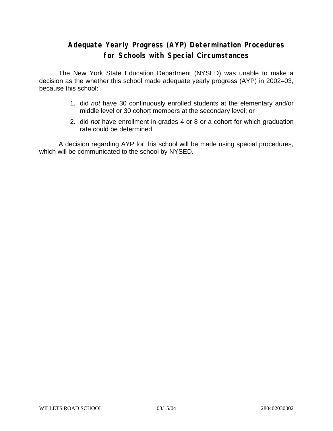### **Adequate Yearly Progress (AYP) Determination Procedures for Schools with Special Circumstances**

The New York State Education Department (NYSED) was unable to make a decision as the whether this school made adequate yearly progress (AYP) in 2002–03, because this school:

- 1. did *not* have 30 continuously enrolled students at the elementary and/or middle level or 30 cohort members at the secondary level; or
- 2. did *not* have enrollment in grades 4 or 8 or a cohort for which graduation rate could be determined.

A decision regarding AYP for this school will be made using special procedures, which will be communicated to the school by NYSED.